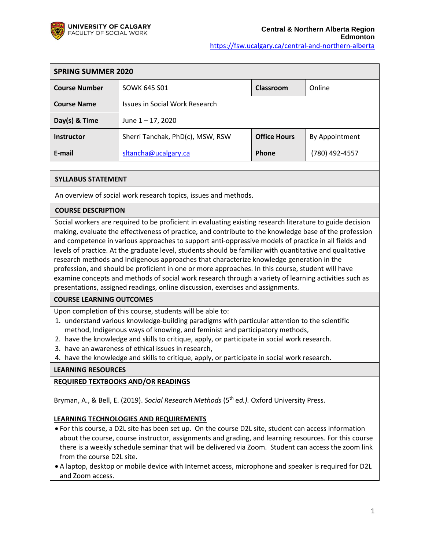

| <b>SPRING SUMMER 2020</b> |                                            |                     |                |
|---------------------------|--------------------------------------------|---------------------|----------------|
| <b>Course Number</b>      | Online<br><b>SOWK 645 S01</b><br>Classroom |                     |                |
| <b>Course Name</b>        | Issues in Social Work Research             |                     |                |
| Day(s) & Time             | June $1 - 17$ , 2020                       |                     |                |
| <b>Instructor</b>         | Sherri Tanchak, PhD(c), MSW, RSW           | <b>Office Hours</b> | By Appointment |
| E-mail                    | sltancha@ucalgary.ca                       | Phone               | (780) 492-4557 |

## **SYLLABUS STATEMENT**

An overview of social work research topics, issues and methods.

#### **COURSE DESCRIPTION**

Social workers are required to be proficient in evaluating existing research literature to guide decision making, evaluate the effectiveness of practice, and contribute to the knowledge base of the profession and competence in various approaches to support anti-oppressive models of practice in all fields and levels of practice. At the graduate level, students should be familiar with quantitative and qualitative research methods and Indigenous approaches that characterize knowledge generation in the profession, and should be proficient in one or more approaches. In this course, student will have examine concepts and methods of social work research through a variety of learning activities such as presentations, assigned readings, online discussion, exercises and assignments.

### **COURSE LEARNING OUTCOMES**

Upon completion of this course, students will be able to:

- 1. understand various knowledge-building paradigms with particular attention to the scientific method, Indigenous ways of knowing, and feminist and participatory methods,
- 2. have the knowledge and skills to critique, apply, or participate in social work research.
- 3. have an awareness of ethical issues in research,
- 4. have the knowledge and skills to critique, apply, or participate in social work research.

### **LEARNING RESOURCES**

### **REQUIRED TEXTBOOKS AND/OR READINGS**

Bryman, A., & Bell, E. (2019). *Social Research Methods* (5th e*d.).* Oxford University Press.

#### **LEARNING TECHNOLOGIES AND REQUIREMENTS**

- For this course, a D2L site has been set up. On the course D2L site, student can access information about the course, course instructor, assignments and grading, and learning resources. For this course there is a weekly schedule seminar that will be delivered via Zoom. Student can access the zoom link from the course D2L site.
- A laptop, desktop or mobile device with Internet access, microphone and speaker is required for D2L and Zoom access.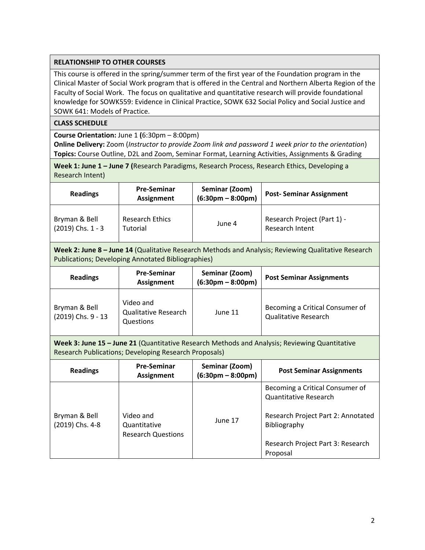## **RELATIONSHIP TO OTHER COURSES**

This course is offered in the spring/summer term of the first year of the Foundation program in the Clinical Master of Social Work program that is offered in the Central and Northern Alberta Region of the Faculty of Social Work. The focus on qualitative and quantitative research will provide foundational knowledge for SOWK559: Evidence in Clinical Practice, SOWK 632 Social Policy and Social Justice and SOWK 641: Models of Practice.

## **CLASS SCHEDULE**

**Course Orientation:** June 1 **(**6:30pm – 8:00pm)

**Online Delivery:** Zoom (*Instructor to provide Zoom link and password 1 week prior to the orientation*) **Topics:** Course Outline, D2L and Zoom, Seminar Format, Learning Activities, Assignments & Grading

**Week 1: June 1 – June 7 (**Research Paradigms, Research Process, Research Ethics, Developing a Research Intent)

| <b>Readings</b>       | <b>Pre-Seminar</b><br><b>Assignment</b> | Seminar (Zoom)<br>$(6:30pm - 8:00pm)$ | <b>Post-Seminar Assignment</b> |  |
|-----------------------|-----------------------------------------|---------------------------------------|--------------------------------|--|
| Bryman & Bell         | <b>Research Ethics</b>                  | June 4                                | Research Project (Part 1) -    |  |
| $(2019)$ Chs. $1 - 3$ | Tutorial                                |                                       | Research Intent                |  |

**Week 2: June 8 – June 14** (Qualitative Research Methods and Analysis; Reviewing Qualitative Research Publications; Developing Annotated Bibliographies)

| <b>Readings</b>                     | <b>Pre-Seminar</b><br>Assignment                      | Seminar (Zoom)<br>$(6:30pm - 8:00pm)$ | <b>Post Seminar Assignments</b>                                |
|-------------------------------------|-------------------------------------------------------|---------------------------------------|----------------------------------------------------------------|
| Bryman & Bell<br>(2019) Chs. 9 - 13 | Video and<br><b>Qualitative Research</b><br>Questions | June 11                               | Becoming a Critical Consumer of<br><b>Qualitative Research</b> |

**Week 3: June 15 – June 21** (Quantitative Research Methods and Analysis; Reviewing Quantitative Research Publications; Developing Research Proposals)

| <b>Readings</b>                  | <b>Pre-Seminar</b><br><b>Assignment</b>                | Seminar (Zoom)<br>$(6:30pm - 8:00pm)$ | <b>Post Seminar Assignments</b>                                 |
|----------------------------------|--------------------------------------------------------|---------------------------------------|-----------------------------------------------------------------|
|                                  |                                                        |                                       | Becoming a Critical Consumer of<br><b>Quantitative Research</b> |
| Bryman & Bell<br>(2019) Chs. 4-8 | Video and<br>Quantitative<br><b>Research Questions</b> | June 17                               | Research Project Part 2: Annotated<br>Bibliography              |
|                                  |                                                        |                                       | Research Project Part 3: Research<br>Proposal                   |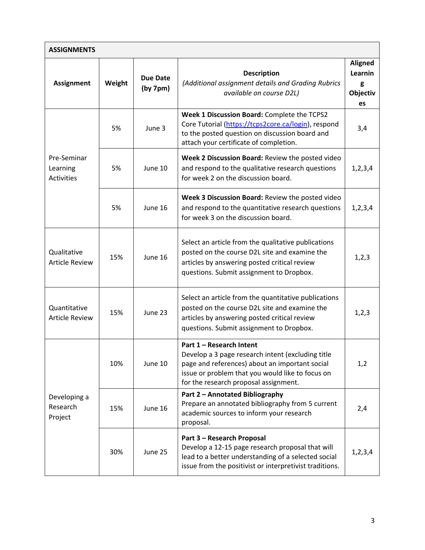| <b>ASSIGNMENTS</b>                           |        |                             |                                                                                                                                                                                                                              |                                                  |
|----------------------------------------------|--------|-----------------------------|------------------------------------------------------------------------------------------------------------------------------------------------------------------------------------------------------------------------------|--------------------------------------------------|
| <b>Assignment</b>                            | Weight | <b>Due Date</b><br>(by 7pm) | <b>Description</b><br>(Additional assignment details and Grading Rubrics<br>available on course D2L)                                                                                                                         | <b>Aligned</b><br>Learnin<br>g<br>Objectiv<br>es |
|                                              | 5%     | June 3                      | Week 1 Discussion Board: Complete the TCPS2<br>Core Tutorial (https://tcps2core.ca/login), respond<br>to the posted question on discussion board and<br>attach your certificate of completion.                               | 3,4                                              |
| Pre-Seminar<br>Learning<br><b>Activities</b> | 5%     | June 10                     | Week 2 Discussion Board: Review the posted video<br>and respond to the qualitative research questions<br>for week 2 on the discussion board.                                                                                 | 1, 2, 3, 4                                       |
|                                              | 5%     | June 16                     | Week 3 Discussion Board: Review the posted video<br>and respond to the quantitative research questions<br>for week 3 on the discussion board.                                                                                | 1, 2, 3, 4                                       |
| Qualitative<br><b>Article Review</b>         | 15%    | June 16                     | Select an article from the qualitative publications<br>posted on the course D2L site and examine the<br>articles by answering posted critical review<br>questions. Submit assignment to Dropbox.                             | 1, 2, 3                                          |
| Quantitative<br><b>Article Review</b>        | 15%    | June 23                     | Select an article from the quantitative publications<br>posted on the course D2L site and examine the<br>articles by answering posted critical review<br>questions. Submit assignment to Dropbox.                            | 1, 2, 3                                          |
|                                              | 10%    | June 10                     | Part 1 - Research Intent<br>Develop a 3 page research intent (excluding title<br>page and references) about an important social<br>issue or problem that you would like to focus on<br>for the research proposal assignment. | 1,2                                              |
| Developing a<br>Research<br>Project          | 15%    | June 16                     | Part 2 - Annotated Bibliography<br>Prepare an annotated bibliography from 5 current<br>academic sources to inform your research<br>proposal.                                                                                 | 2,4                                              |
|                                              | 30%    | June 25                     | Part 3 - Research Proposal<br>Develop a 12-15 page research proposal that will<br>lead to a better understanding of a selected social<br>issue from the positivist or interpretivist traditions.                             | 1, 2, 3, 4                                       |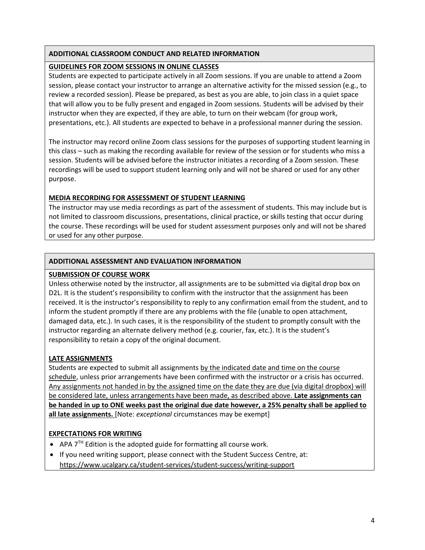# **ADDITIONAL CLASSROOM CONDUCT AND RELATED INFORMATION**

# **GUIDELINES FOR ZOOM SESSIONS IN ONLINE CLASSES**

Students are expected to participate actively in all Zoom sessions. If you are unable to attend a Zoom session, please contact your instructor to arrange an alternative activity for the missed session (e.g., to review a recorded session). Please be prepared, as best as you are able, to join class in a quiet space that will allow you to be fully present and engaged in Zoom sessions. Students will be advised by their instructor when they are expected, if they are able, to turn on their webcam (for group work, presentations, etc.). All students are expected to behave in a professional manner during the session.

The instructor may record online Zoom class sessions for the purposes of supporting student learning in this class – such as making the recording available for review of the session or for students who miss a session. Students will be advised before the instructor initiates a recording of a Zoom session. These recordings will be used to support student learning only and will not be shared or used for any other purpose.

# **MEDIA RECORDING FOR ASSESSMENT OF STUDENT LEARNING**

The instructor may use media recordings as part of the assessment of students. This may include but is not limited to classroom discussions, presentations, clinical practice, or skills testing that occur during the course. These recordings will be used for student assessment purposes only and will not be shared or used for any other purpose.

# **ADDITIONAL ASSESSMENT AND EVALUATION INFORMATION**

# **SUBMISSION OF COURSE WORK**

Unless otherwise noted by the instructor, all assignments are to be submitted via digital drop box on D2L. It is the student's responsibility to confirm with the instructor that the assignment has been received. It is the instructor's responsibility to reply to any confirmation email from the student, and to inform the student promptly if there are any problems with the file (unable to open attachment, damaged data, etc.). In such cases, it is the responsibility of the student to promptly consult with the instructor regarding an alternate delivery method (e.g. courier, fax, etc.). It is the student's responsibility to retain a copy of the original document.

# **LATE ASSIGNMENTS**

Students are expected to submit all assignments by the indicated date and time on the course schedule, unless prior arrangements have been confirmed with the instructor or a crisis has occurred. Any assignments not handed in by the assigned time on the date they are due (via digital dropbox) will be considered late, unless arrangements have been made, as described above. **Late assignments can be handed in up to ONE weeks past the original due date however, a 25% penalty shall be applied to all late assignments.** [Note: *exceptional* circumstances may be exempt]

# **EXPECTATIONS FOR WRITING**

- APA  $7<sup>TH</sup>$  Edition is the adopted guide for formatting all course work.
- If you need writing support, please connect with the Student Success Centre, at: <https://www.ucalgary.ca/student-services/student-success/writing-support>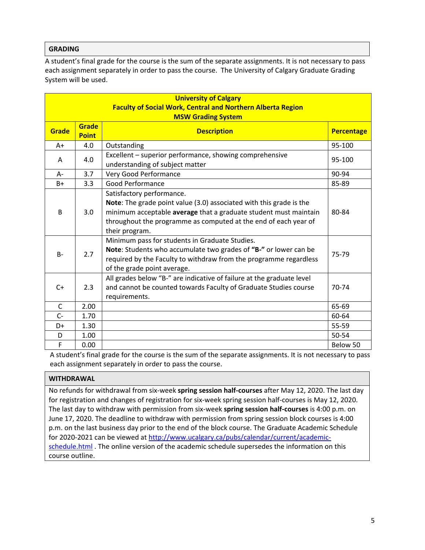## **GRADING**

A student's final grade for the course is the sum of the separate assignments. It is not necessary to pass each assignment separately in order to pass the course. The University of Calgary Graduate Grading System will be used.

| <b>University of Calgary</b>                                       |                              |                                                                                                                                                                                                                                                           |           |  |  |
|--------------------------------------------------------------------|------------------------------|-----------------------------------------------------------------------------------------------------------------------------------------------------------------------------------------------------------------------------------------------------------|-----------|--|--|
| <b>Faculty of Social Work, Central and Northern Alberta Region</b> |                              |                                                                                                                                                                                                                                                           |           |  |  |
|                                                                    | <b>MSW Grading System</b>    |                                                                                                                                                                                                                                                           |           |  |  |
| Grade                                                              | <b>Grade</b><br><b>Point</b> | <b>Description</b>                                                                                                                                                                                                                                        |           |  |  |
| $A+$                                                               | 4.0                          | Outstanding                                                                                                                                                                                                                                               | 95-100    |  |  |
| A                                                                  | 4.0                          | Excellent - superior performance, showing comprehensive<br>understanding of subject matter                                                                                                                                                                | 95-100    |  |  |
| $A -$                                                              | 3.7                          | Very Good Performance                                                                                                                                                                                                                                     | 90-94     |  |  |
| $B+$                                                               | 3.3                          | Good Performance                                                                                                                                                                                                                                          | 85-89     |  |  |
| B                                                                  | 3.0                          | Satisfactory performance.<br>Note: The grade point value (3.0) associated with this grade is the<br>minimum acceptable average that a graduate student must maintain<br>throughout the programme as computed at the end of each year of<br>their program. | 80-84     |  |  |
| $B -$                                                              | 2.7                          | Minimum pass for students in Graduate Studies.<br>Note: Students who accumulate two grades of "B-" or lower can be<br>required by the Faculty to withdraw from the programme regardless<br>of the grade point average.                                    | 75-79     |  |  |
| $C+$                                                               | 2.3                          | All grades below "B-" are indicative of failure at the graduate level<br>and cannot be counted towards Faculty of Graduate Studies course<br>requirements.                                                                                                | $70 - 74$ |  |  |
| $\mathsf{C}$                                                       | 2.00                         |                                                                                                                                                                                                                                                           | 65-69     |  |  |
| $C -$                                                              | 1.70                         |                                                                                                                                                                                                                                                           | 60-64     |  |  |
| D+                                                                 | 1.30                         |                                                                                                                                                                                                                                                           | 55-59     |  |  |
| D                                                                  | 1.00                         |                                                                                                                                                                                                                                                           | 50-54     |  |  |
| F                                                                  | 0.00                         |                                                                                                                                                                                                                                                           | Below 50  |  |  |

A student's final grade for the course is the sum of the separate assignments. It is not necessary to pass each assignment separately in order to pass the course.

### **WITHDRAWAL**

No refunds for withdrawal from six-week **spring session half-courses** after May 12, 2020. The last day for registration and changes of registration for six-week spring session half-courses is May 12, 2020. The last day to withdraw with permission from six-week **spring session half-courses** is 4:00 p.m. on June 17, 2020. The deadline to withdraw with permission from spring session block courses is 4:00 p.m. on the last business day prior to the end of the block course. The Graduate Academic Schedule for 2020-2021 can be viewed at [http://www.ucalgary.ca/pubs/calendar/current/academic](http://www.ucalgary.ca/pubs/calendar/current/academic-schedule.html)[schedule.html](http://www.ucalgary.ca/pubs/calendar/current/academic-schedule.html) . The online version of the academic schedule supersedes the information on this course outline.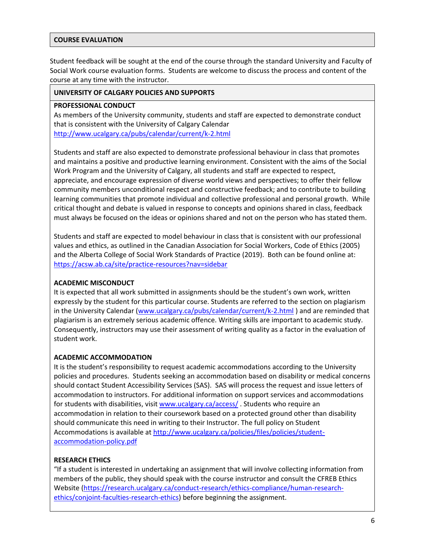#### **COURSE EVALUATION**

Student feedback will be sought at the end of the course through the standard University and Faculty of Social Work course evaluation forms. Students are welcome to discuss the process and content of the course at any time with the instructor.

#### **UNIVERSITY OF CALGARY POLICIES AND SUPPORTS**

#### **PROFESSIONAL CONDUCT**

As members of the University community, students and staff are expected to demonstrate conduct that is consistent with the University of Calgary Calendar <http://www.ucalgary.ca/pubs/calendar/current/k-2.html>

Students and staff are also expected to demonstrate professional behaviour in class that promotes and maintains a positive and productive learning environment. Consistent with the aims of the Social Work Program and the University of Calgary, all students and staff are expected to respect, appreciate, and encourage expression of diverse world views and perspectives; to offer their fellow community members unconditional respect and constructive feedback; and to contribute to building learning communities that promote individual and collective professional and personal growth. While critical thought and debate is valued in response to concepts and opinions shared in class, feedback must always be focused on the ideas or opinions shared and not on the person who has stated them.

Students and staff are expected to model behaviour in class that is consistent with our professional values and ethics, as outlined in the Canadian Association for Social Workers, Code of Ethics (2005) and the Alberta College of Social Work Standards of Practice (2019). Both can be found online at: <https://acsw.ab.ca/site/practice-resources?nav=sidebar>

### **ACADEMIC MISCONDUCT**

It is expected that all work submitted in assignments should be the student's own work, written expressly by the student for this particular course. Students are referred to the section on plagiarism in the University Calendar [\(www.ucalgary.ca/pubs/calendar/current/k-2.html](http://www.ucalgary.ca/pubs/calendar/current/k-2.html) ) and are reminded that plagiarism is an extremely serious academic offence. Writing skills are important to academic study. Consequently, instructors may use their assessment of writing quality as a factor in the evaluation of student work.

### **ACADEMIC ACCOMMODATION**

It is the student's responsibility to request academic accommodations according to the University policies and procedures. Students seeking an accommodation based on disability or medical concerns should contact Student Accessibility Services (SAS). SAS will process the request and issue letters of accommodation to instructors. For additional information on support services and accommodations for students with disabilities, visi[t www.ucalgary.ca/access/](http://www.ucalgary.ca/access/). Students who require an accommodation in relation to their coursework based on a protected ground other than disability should communicate this need in writing to their Instructor. The full policy on Student Accommodations is available at [http://www.ucalgary.ca/policies/files/policies/student](http://www.ucalgary.ca/policies/files/policies/student-accommodation-policy.pdf)[accommodation-policy.pdf](http://www.ucalgary.ca/policies/files/policies/student-accommodation-policy.pdf)

### **RESEARCH ETHICS**

"If a student is interested in undertaking an assignment that will involve collecting information from members of the public, they should speak with the course instructor and consult the CFREB Ethics Website [\(https://research.ucalgary.ca/conduct-research/ethics-compliance/human-research](https://research.ucalgary.ca/conduct-research/ethics-compliance/human-research-ethics/conjoint-faculties-research-ethics)[ethics/conjoint-faculties-research-ethics\)](https://research.ucalgary.ca/conduct-research/ethics-compliance/human-research-ethics/conjoint-faculties-research-ethics) before beginning the assignment.